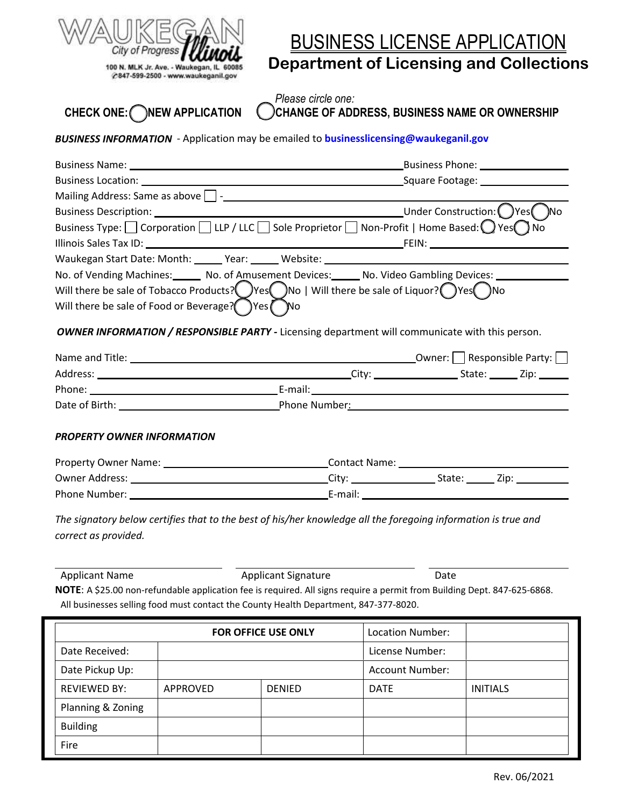

# BUSINESS LICENSE APPLICATION **Department of Licensing and Collections**

*Please circle one:* **CHECK ONE: NEW APPLICATION CHANGE OF ADDRESS, BUSINESS NAME OR OWNERSHIP**

*BUSINESS INFORMATION* - Application may be emailed to **businesslicensing@waukeganil.gov**

|                                                | Business Name: 1990 Contract Contract Contract Contract Contract Contract Contract Contract Contract Contract Contract Contract Contract Contract Contract Contract Contract Contract Contract Contract Contract Contract Cont      |  |  |  |
|------------------------------------------------|-------------------------------------------------------------------------------------------------------------------------------------------------------------------------------------------------------------------------------------|--|--|--|
|                                                |                                                                                                                                                                                                                                     |  |  |  |
|                                                |                                                                                                                                                                                                                                     |  |  |  |
|                                                |                                                                                                                                                                                                                                     |  |  |  |
|                                                | Business Type: $\Box$ Corporation $\Box$ LLP / LLC $\Box$ Sole Proprietor $\Box$ Non-Profit   Home Based: $\bigcirc$ Yes $\bigcirc$ No                                                                                              |  |  |  |
|                                                |                                                                                                                                                                                                                                     |  |  |  |
|                                                | Waukegan Start Date: Month: ______ Year: ______ Website: ________________________                                                                                                                                                   |  |  |  |
|                                                | No. of Vending Machines: No. of Amusement Devices: No. Video Gambling Devices: 1986                                                                                                                                                 |  |  |  |
|                                                | Will there be sale of Tobacco Products? Yes $\bigcirc$ No   Will there be sale of Liquor? Yes No                                                                                                                                    |  |  |  |
| Will there be sale of Food or Beverage? Yes No |                                                                                                                                                                                                                                     |  |  |  |
|                                                | OWNER INFORMATION / RESPONSIBLE PARTY - Licensing department will communicate with this person.                                                                                                                                     |  |  |  |
|                                                |                                                                                                                                                                                                                                     |  |  |  |
|                                                |                                                                                                                                                                                                                                     |  |  |  |
|                                                |                                                                                                                                                                                                                                     |  |  |  |
|                                                | Date of Birth: <u>New York: Phone Number:</u> Phone Number: Phone Number: Phone Number: Phone Number: Phone Number: Phone Number: Phone Number: Phone Number: Phone Number: Phone Number: Phone Number: Phone Number: Phone Number: |  |  |  |
| PROPERTY OWNER INFORMATION                     |                                                                                                                                                                                                                                     |  |  |  |
|                                                |                                                                                                                                                                                                                                     |  |  |  |
|                                                |                                                                                                                                                                                                                                     |  |  |  |
|                                                |                                                                                                                                                                                                                                     |  |  |  |
|                                                | The signatory below certifies that to the best of his/her knowledge all the foregoing information is true and                                                                                                                       |  |  |  |
| correct as provided.                           |                                                                                                                                                                                                                                     |  |  |  |

Applicant Name **Applicant Signature Container Applicant Signature** Date **NOTE**: A \$25.00 non-refundable application fee is required. All signs require a permit from Building Dept. 847-625-6868. All businesses selling food must contact the County Health Department, 847-377-8020.

| <b>FOR OFFICE USE ONLY</b> |          |               | Location Number:       |                 |
|----------------------------|----------|---------------|------------------------|-----------------|
| Date Received:             |          |               | License Number:        |                 |
| Date Pickup Up:            |          |               | <b>Account Number:</b> |                 |
| <b>REVIEWED BY:</b>        | APPROVED | <b>DENIED</b> | <b>DATE</b>            | <b>INITIALS</b> |
| Planning & Zoning          |          |               |                        |                 |
| <b>Building</b>            |          |               |                        |                 |
| Fire                       |          |               |                        |                 |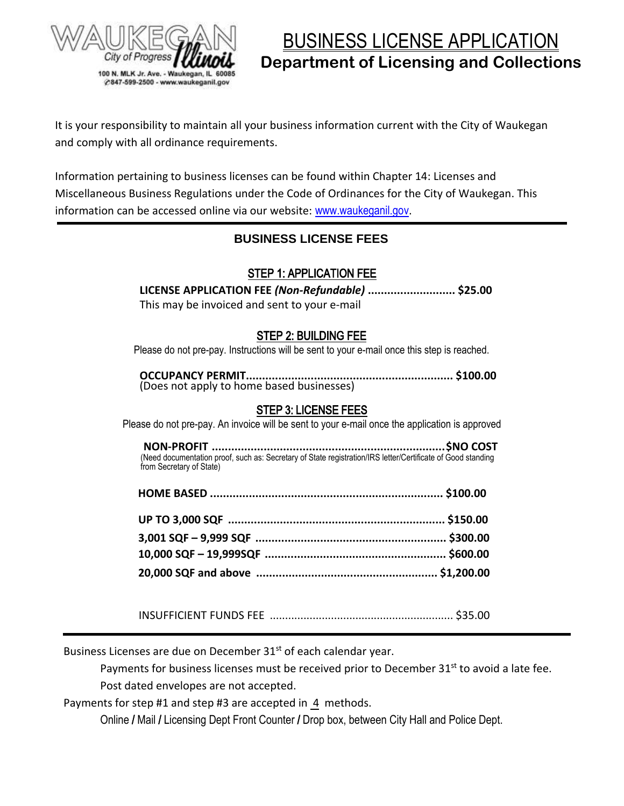

BUSINESS LICENSE APPLICATION **Department of Licensing and Collections**

It is your responsibility to maintain all your business information current with the City of Waukegan and comply with all ordinance requirements.

Information pertaining to business licenses can be found within Chapter 14: Licenses and Miscellaneous Business Regulations under the Code of Ordinances for the City of Waukegan. This information can be accessed online via our website: [www.waukeganil.gov](file://///Ci.waukegan.il.us/City/Business%20Licensing/APPLICATIONS/APPLICATIONS%20-%20Original%20Templates/www.waukeganil.gov).

## **BUSINESS LICENSE FEES**

### STEP 1: APPLICATION FEE

**LICENSE APPLICATION FEE** *(Non-Refundable)* **........................... \$25.00** This may be invoiced and sent to your e-mail

### STEP 2: BUILDING FEE

Please do not pre-pay. Instructions will be sent to your e-mail once this step is reached.

**OCCUPANCY PERMIT................................................................ \$100.00**  (Does not apply to home based businesses)

#### STEP 3: LICENSE FEES

Please do not pre-pay. An invoice will be sent to your e-mail once the application is approved

 **NON-PROFIT ........................................................................\$NO COST**  (Need documentation proof, such as: Secretary of State registration/IRS letter/Certificate of Good standing from Secretary of State)

INSUFFICIENT FUNDS FEE ............................................................ \$35.00

Business Licenses are due on December 31<sup>st</sup> of each calendar year.

Payments for business licenses must be received prior to December 31<sup>st</sup> to avoid a late fee. Post dated envelopes are not accepted.

Payments for step #1 and step #3 are accepted in 4 methods.

Online / Mail / Licensing Dept Front Counter / Drop box, between City Hall and Police Dept.